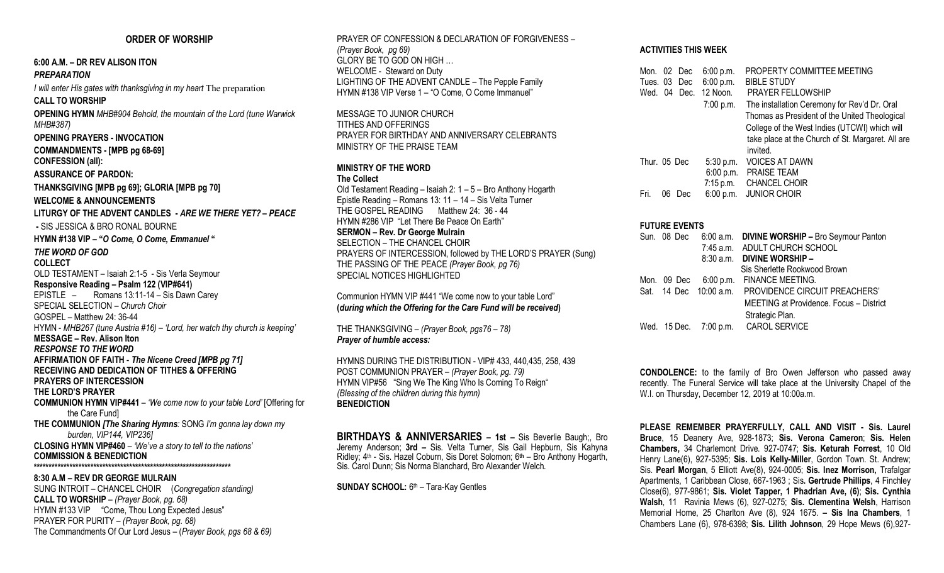# **ORDER OF WORSHIP**

# **6:00 A.M. – DR REV ALISON ITON**

#### *PREPARATION*

*I will enter His gates with thanksgiving in my heart* The preparation **CALL TO WORSHIP OPENING HYMN** *MHB#904 Behold, the mountain of the Lord (tune Warwick MHB#387)* **OPENING PRAYERS - INVOCATION** **COMMANDMENTS - [MPB pg 68-69]** **CONFESSION (all): ASSURANCE OF PARDON: THANKSGIVING [MPB pg 69]; GLORIA [MPB pg 70]** **WELCOME & ANNOUNCEMENTS LITURGY OF THE ADVENT CANDLES -** *ARE WE THERE YET? – PEACE* **-** SIS JESSICA & BRO RONAL BOURNE **HYMN #138 VIP – "***O Come, O Come, Emmanuel* **"** *THE WORD OF GOD* **COLLECT** OLD TESTAMENT – Isaiah 2:1-5 - Sis Verla Seymour **Responsive Reading – Psalm 122 (VIP#641)** EPISTLE – Romans 13:11-14 – Sis Dawn Carey SPECIAL SELECTION – *Church Choir* GOSPEL – Matthew 24: 36-44 HYMN - *MHB267 (tune Austria #16) – 'Lord, her watch thy church is keeping'* **MESSAGE – Rev. Alison Iton** *RESPONSE TO THE WORD* **AFFIRMATION OF FAITH -** *The Nicene Creed [MPB pg 71]* **RECEIVING AND DEDICATION OF TITHES & OFFERING PRAYERS OF INTERCESSION THE LORD'S PRAYER COMMUNION HYMN VIP#441** – *'We come now to your table Lord'* [Offering for the Care Fund] **THE COMMUNION** *[The Sharing Hymns:* SONG *I'm gonna lay down my burden, VIP144, VIP236]* **CLOSING HYMN VIP#460** – *'We've a story to tell to the nations'* **COMMISSION & BENEDICTION \*\*\*\*\*\*\*\*\*\*\*\*\*\*\*\*\*\*\*\*\*\*\*\*\*\*\*\*\*\*\*\*\*\*\*\*\*\*\*\*\*\*\*\*\*\*\*\*\*\*\*\*\*\*\*\*\*\*\*\*\*\*\*\*\*\***

**8:30 A.M – REV DR GEORGE MULRAIN** SUNG INTROIT – CHANCEL CHOIR (*Congregation standing)* **CALL TO WORSHIP** – *(Prayer Book, pg. 68)* HYMN #133 VIP "Come, Thou Long Expected Jesus" PRAYER FOR PURITY – *(Prayer Book, pg. 68)* The Commandments Of Our Lord Jesus – (*Prayer Book, pgs 68 & 69)*

PRAYER OF CONFESSION & DECLARATION OF FORGIVENESS – *(Prayer Book, pg 69)* GLORY BE TO GOD ON HIGH … WELCOME - Steward on Duty LIGHTING OF THE ADVENT CANDLE – The Pepple Family HYMN #138 VIP Verse 1 – "O Come, O Come Immanuel"

MESSAGE TO JUNIOR CHURCH TITHES AND OFFERINGS PRAYER FOR BIRTHDAY AND ANNIVERSARY CELEBRANTS MINISTRY OF THE PRAISE TEAM

# **MINISTRY OF THE WORD**

### **The Collect**

Old Testament Reading – Isaiah 2: 1 – 5 – Bro Anthony Hogarth Epistle Reading – Romans 13: 11 – 14 – Sis Velta Turner THE GOSPEL READING Matthew 24: 36 - 44 HYMN #286 VIP "Let There Be Peace On Earth" **SERMON – Rev. Dr George Mulrain** SELECTION – THE CHANCEL CHOIR PRAYERS OF INTERCESSION, followed by THE LORD'S PRAYER (Sung) THE PASSING OF THE PEACE *(Prayer Book, pg 76)* SPECIAL NOTICES HIGHLIGHTED

Communion HYMN VIP #441 "We come now to your table Lord" **(***during which the Offering for the Care Fund will be received***)**

THE THANKSGIVING – *(Prayer Book, pgs76 – 78) Prayer of humble access:*

HYMNS DURING THE DISTRIBUTION - VIP# 433, 440,435, 258, 439 POST COMMUNION PRAYER – *(Prayer Book, pg. 79)* HYMN VIP#56 "Sing We The King Who Is Coming To Reign" *(Blessing of the children during this hymn)* **BENEDICTION**

**BIRTHDAYS & ANNIVERSARIES – 1st –** Sis Beverlie Baugh;, Bro Jeremy Anderson; **3rd –** Sis. Velta Turner, Sis Gail Hepburn, Sis Kahyna Ridley; 4th - Sis. Hazel Coburn, Sis Doret Solomon; 6**th** – Bro Anthony Hogarth, Sis. Carol Dunn; Sis Norma Blanchard, Bro Alexander Welch.

**SUNDAY SCHOOL:** 6th – Tara-Kay Gentles

# **ACTIVITIES THIS WEEK**

| Mon. 02 Dec  |    |              | 6:00 p.m.   | PROPERTY COMMITTEE MEETING                                    |
|--------------|----|--------------|-------------|---------------------------------------------------------------|
| Tues. 03 Dec |    |              | 6:00 p.m.   | <b>BIBLE STUDY</b>                                            |
|              |    | Wed. 04 Dec. | 12 Noon.    | PRAYER FELLOWSHIP                                             |
|              |    |              | $7:00$ p.m. | The installation Ceremony for Rev'd Dr. Oral                  |
|              |    |              |             | Thomas as President of the United Theological                 |
|              |    |              |             | College of the West Indies (UTCWI) which will                 |
|              |    |              |             | take place at the Church of St. Margaret. All are<br>invited. |
| Thur. 05 Dec |    |              | 5:30 p.m.   | <b>VOICES AT DAWN</b>                                         |
|              |    |              | 6:00 p.m.   | <b>PRAISE TEAM</b>                                            |
|              |    |              | $7:15$ p.m. | <b>CHANCEL CHOIR</b>                                          |
| Fri.         | 06 | Dec          | 6:00 p.m.   | <b>JUNIOR CHOIR</b>                                           |

#### **FUTURE EVENTS**

| 6:00 a.m. DIVINE WORSHIP - Bro Seymour Panton        |
|------------------------------------------------------|
|                                                      |
|                                                      |
|                                                      |
|                                                      |
| Sat. 14 Dec 10:00 a.m. PROVIDENCE CIRCUIT PREACHERS' |
| MEETING at Providence. Focus - District              |
|                                                      |
|                                                      |
|                                                      |

**CONDOLENCE:** to the family of Bro Owen Jefferson who passed away recently. The Funeral Service will take place at the University Chapel of the W.I. on Thursday, December 12, 2019 at 10:00a.m.

**PLEASE REMEMBER PRAYERFULLY, CALL AND VISIT - Sis. Laurel Bruce**, 15 Deanery Ave, 928-1873; **Sis. Verona Cameron**; **Sis. Helen Chambers,** 34 Charlemont Drive. 927-0747; **Sis. Keturah Forrest**, 10 Old Henry Lane(6), 927-5395; **Sis. Lois Kelly-Miller**, Gordon Town. St. Andrew; Sis. **Pearl Morgan**, 5 Elliott Ave(8), 924-0005; **Sis. Inez Morrison,** Trafalgar Apartments, 1 Caribbean Close, 667-1963 ; Sis**. Gertrude Phillips**, 4 Finchley Close(6), 977-9861; **Sis. Violet Tapper, 1 Phadrian Ave, (6)**; **Sis. Cynthia Walsh**, 11 Ravinia Mews (6), 927-0275; **Sis. Clementina Welsh**, Harrison Memorial Home, 25 Charlton Ave (8), 924 1675. **– Sis Ina Chambers**, 1 Chambers Lane (6), 978-6398; **Sis. Lilith Johnson**, 29 Hope Mews (6),927